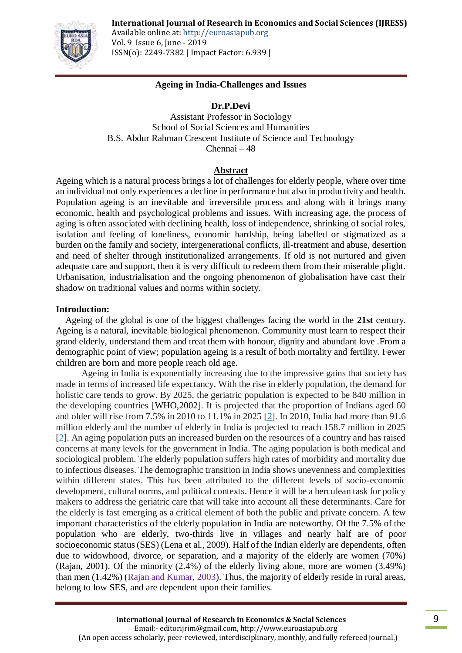

Available online at: http://euroasiapub.org Vol. 9 Issue 6, June - 2019 ISSN(o): 2249-7382 | Impact Factor: 6.939 |

## **Ageing in India-Challenges and Issues**

### **Dr.P.Devi**

Assistant Professor in Sociology School of Social Sciences and Humanities B.S. Abdur Rahman Crescent Institute of Science and Technology Chennai – 48

#### **Abstract**

Ageing which is a natural process brings a lot of challenges for elderly people, where over time an individual not only experiences a decline in performance but also in productivity and health. Population ageing is an inevitable and irreversible process and along with it brings many economic, health and psychological problems and issues. With increasing age, the process of aging is often associated with declining health, loss of independence, shrinking of social roles, isolation and feeling of loneliness, economic hardship, being labelled or stigmatized as a burden on the family and society, intergenerational conflicts, ill-treatment and abuse, desertion and need of shelter through institutionalized arrangements. If old is not nurtured and given adequate care and support, then it is very difficult to redeem them from their miserable plight. Urbanisation, industrialisation and the ongoing phenomenon of globalisation have cast their shadow on traditional values and norms within society.

#### **Introduction:**

 Ageing of the global is one of the biggest challenges facing the world in the **21st** century. Ageing is a natural, inevitable biological phenomenon. Community must learn to respect their grand elderly, understand them and treat them with honour, dignity and abundant love .From a demographic point of view; population ageing is a result of both mortality and fertility. Fewer children are born and more people reach old age.

 Ageing in India is exponentially increasing due to the impressive gains that society has made in terms of increased life expectancy. With the rise in elderly population, the demand for holistic care tends to grow. By 2025, the geriatric population is expected to be 840 million in the developing countries [WHO,2002]. It is projected that the proportion of Indians aged 60 and older will rise from 7.5% in 2010 to 11.1% in 2025 [\[2\]](https://www.omicsonline.org/open-access/ageing-in-india-some-social-challenges-to-elderly-care-2167-7182-1000e136.php?aid=69369#2). In 2010, India had more than 91.6 million elderly and the number of elderly in India is projected to reach 158.7 million in 2025 [\[2\]](https://www.omicsonline.org/open-access/ageing-in-india-some-social-challenges-to-elderly-care-2167-7182-1000e136.php?aid=69369#2). An aging population puts an increased burden on the resources of a country and has raised concerns at many levels for the government in India. The aging population is both medical and sociological problem. The elderly population suffers high rates of morbidity and mortality due to infectious diseases. The demographic transition in India shows unevenness and complexities within different states. This has been attributed to the different levels of socio-economic development, cultural norms, and political contexts. Hence it will be a herculean task for policy makers to address the geriatric care that will take into account all these determinants. Care for the elderly is fast emerging as a critical element of both the public and private concern. A few important characteristics of the elderly population in India are noteworthy. Of the 7.5% of the population who are elderly, two-thirds live in villages and nearly half are of poor socioeconomic status (SES) [\(Lena et al., 2009\)](https://www.ncbi.nlm.nih.gov/books/NBK109208/). Half of the Indian elderly are dependents, often due to widowhood, divorce, or separation, and a majority of the elderly are women (70%) [\(Rajan, 2001\)](https://www.ncbi.nlm.nih.gov/books/NBK109208/). Of the minority (2.4%) of the elderly living alone, more are women (3.49%) than men (1.42%) [\(Rajan and Kumar, 2003\)](https://www.ncbi.nlm.nih.gov/books/NBK109208/). Thus, the majority of elderly reside in rural areas, belong to low SES, and are dependent upon their families.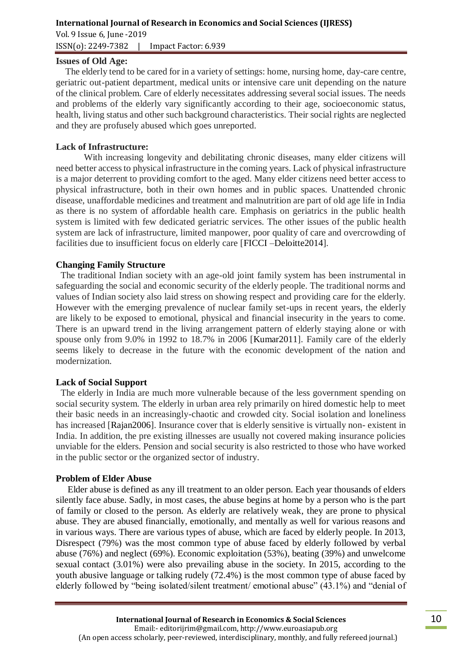Vol. 9 Issue 6, June -2019 ISSN(o): 2249-7382 | Impact Factor: 6.939

### **Issues of Old Age:**

 The elderly tend to be cared for in a variety of settings: home, nursing home, day-care centre, geriatric out-patient department, medical units or intensive care unit depending on the nature of the clinical problem. Care of elderly necessitates addressing several social issues. The needs and problems of the elderly vary significantly according to their age, socioeconomic status, health, living status and other such background characteristics. Their social rights are neglected and they are profusely abused which goes unreported.

# **Lack of Infrastructure:**

 With increasing longevity and debilitating chronic diseases, many elder citizens will need better access to physical infrastructure in the coming years. Lack of physical infrastructure is a major deterrent to providing comfort to the aged. Many elder citizens need better access to physical infrastructure, both in their own homes and in public spaces. Unattended chronic disease, unaffordable medicines and treatment and malnutrition are part of old age life in India as there is no system of affordable health care. Emphasis on geriatrics in the public health system is limited with few dedicated geriatric services. The other issues of the public health system are lack of infrastructure, limited manpower, poor quality of care and overcrowding of facilities due to insufficient focus on elderly care [FICCI –Deloitte2014].

# **Changing Family Structure**

 The traditional Indian society with an age-old joint family system has been instrumental in safeguarding the social and economic security of the elderly people. The traditional norms and values of Indian society also laid stress on showing respect and providing care for the elderly. However with the emerging prevalence of nuclear family set-ups in recent years, the elderly are likely to be exposed to emotional, physical and financial insecurity in the years to come. There is an upward trend in the living arrangement pattern of elderly staying alone or with spouse only from 9.0% in 1992 to 18.7% in 2006 [Kumar2011]. Family care of the elderly seems likely to decrease in the future with the economic development of the nation and modernization.

## **Lack of Social Support**

 The elderly in India are much more vulnerable because of the less government spending on social security system. The elderly in urban area rely primarily on hired domestic help to meet their basic needs in an increasingly-chaotic and crowded city. Social isolation and loneliness has increased [Rajan2006]. Insurance cover that is elderly sensitive is virtually non- existent in India. In addition, the pre existing illnesses are usually not covered making insurance policies unviable for the elders. Pension and social security is also restricted to those who have worked in the public sector or the organized sector of industry.

## **Problem of Elder Abuse**

Elder abuse is defined as any ill treatment to an older person. Each year thousands of elders silently face abuse. Sadly, in most cases, the abuse begins at home by a person who is the part of family or closed to the person. As elderly are relatively weak, they are prone to physical abuse. They are abused financially, emotionally, and mentally as well for various reasons and in various ways. There are various types of abuse, which are faced by elderly people. In 2013, Disrespect (79%) was the most common type of abuse faced by elderly followed by verbal abuse (76%) and neglect (69%). Economic exploitation (53%), beating (39%) and unwelcome sexual contact (3.01%) were also prevailing abuse in the society. In 2015, according to the youth abusive language or talking rudely (72.4%) is the most common type of abuse faced by elderly followed by "being isolated/silent treatment/ emotional abuse" (43.1%) and "denial of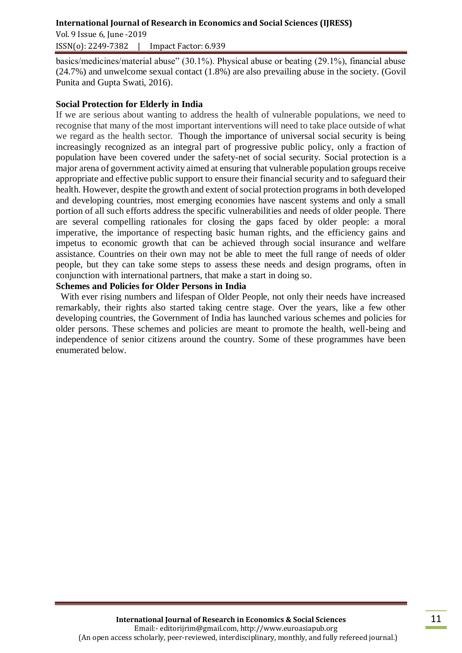Vol. 9 Issue 6, June -2019 ISSN(o): 2249-7382 | Impact Factor: 6.939

basics/medicines/material abuse" (30.1%). Physical abuse or beating (29.1%), financial abuse (24.7%) and unwelcome sexual contact (1.8%) are also prevailing abuse in the society. (Govil Punita and Gupta Swati, 2016).

### **Social Protection for Elderly in India**

If we are serious about wanting to address the health of vulnerable populations, we need to recognise that many of the most important interventions will need to take place outside of what we regard as the health sector. Though the importance of universal social security is being increasingly recognized as an integral part of progressive public policy, only a fraction of population have been covered under the safety-net of social security. Social protection is a major arena of government activity aimed at ensuring that vulnerable population groups receive appropriate and effective public support to ensure their financial security and to safeguard their health. However, despite the growth and extent of social protection programs in both developed and developing countries, most emerging economies have nascent systems and only a small portion of all such efforts address the specific vulnerabilities and needs of older people. There are several compelling rationales for closing the gaps faced by older people: a moral imperative, the importance of respecting basic human rights, and the efficiency gains and impetus to economic growth that can be achieved through social insurance and welfare assistance. Countries on their own may not be able to meet the full range of needs of older people, but they can take some steps to assess these needs and design programs, often in conjunction with international partners, that make a start in doing so.

### **Schemes and Policies for Older Persons in India**

 With ever rising numbers and lifespan of Older People, not only their needs have increased remarkably, their rights also started taking centre stage. Over the years, like a few other developing countries, the Government of India has launched various schemes and policies for older persons. These schemes and policies are meant to promote the health, well-being and independence of senior citizens around the country. Some of these programmes have been enumerated below.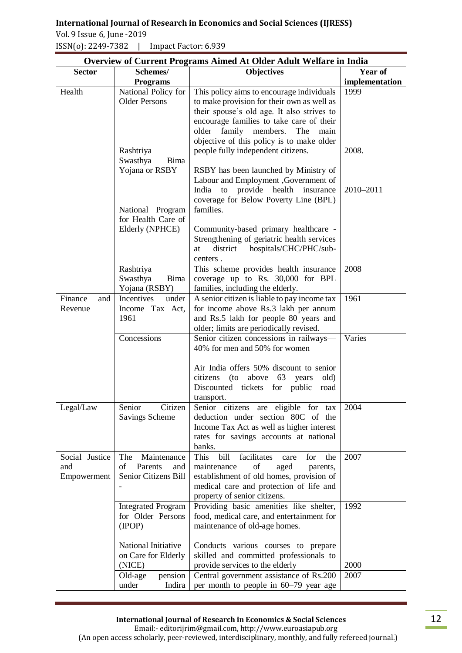Vol. 9 Issue 6, June -2019 ISSN(o): 2249-7382 | Impact Factor: 6.939

|                                      | <b>Overview of Current Programs Aimed At Older Adult Welfare in India</b>       |                                                                                                                                                                                                                                                                              |                    |  |
|--------------------------------------|---------------------------------------------------------------------------------|------------------------------------------------------------------------------------------------------------------------------------------------------------------------------------------------------------------------------------------------------------------------------|--------------------|--|
| <b>Sector</b>                        | Schemes/                                                                        | <b>Objectives</b>                                                                                                                                                                                                                                                            | Year of            |  |
|                                      | <b>Programs</b>                                                                 |                                                                                                                                                                                                                                                                              | implementation     |  |
| Health                               | National Policy for<br><b>Older Persons</b>                                     | This policy aims to encourage individuals<br>to make provision for their own as well as<br>their spouse's old age. It also strives to<br>encourage families to take care of their<br>older<br>family<br>members.<br>The<br>main<br>objective of this policy is to make older | 1999               |  |
|                                      | Rashtriya<br>Swasthya<br>Bima<br>Yojana or RSBY                                 | people fully independent citizens.<br>RSBY has been launched by Ministry of<br>Labour and Employment , Government of<br>India to provide health insurance                                                                                                                    | 2008.<br>2010-2011 |  |
|                                      | National Program<br>for Health Care of<br>Elderly (NPHCE)                       | coverage for Below Poverty Line (BPL)<br>families.<br>Community-based primary healthcare -<br>Strengthening of geriatric health services<br>district<br>hospitals/CHC/PHC/sub-<br>at<br>centers.                                                                             |                    |  |
|                                      | Rashtriya<br>Swasthya<br>Bima<br>Yojana (RSBY)                                  | This scheme provides health insurance<br>coverage up to Rs. 30,000 for BPL<br>families, including the elderly.                                                                                                                                                               | 2008               |  |
| Finance<br>and<br>Revenue            | Incentives<br>under<br>Income Tax Act,<br>1961                                  | A senior citizen is liable to pay income tax<br>for income above Rs.3 lakh per annum<br>and Rs.5 lakh for people 80 years and<br>older; limits are periodically revised.                                                                                                     | 1961               |  |
|                                      | Concessions                                                                     | Senior citizen concessions in railways-<br>40% for men and 50% for women<br>Air India offers 50% discount to senior<br>citizens<br>$($ to<br>above<br>63<br>old)<br>years<br>Discounted<br>tickets<br>for<br>public<br>road<br>transport.                                    | Varies             |  |
| Legal/Law                            | Senior<br>Citizen<br><b>Savings Scheme</b>                                      | Senior citizens are eligible for tax<br>deduction under section 80C of the<br>Income Tax Act as well as higher interest<br>rates for savings accounts at national<br>banks.                                                                                                  | 2004               |  |
| Social Justice<br>and<br>Empowerment | Maintenance<br>The<br>Parents<br>of<br>and<br>Senior Citizens Bill              | bill<br>This<br>facilitates<br>for<br>the<br>care<br>aged<br>maintenance<br>of<br>parents,<br>establishment of old homes, provision of<br>medical care and protection of life and<br>property of senior citizens.                                                            | 2007               |  |
|                                      | <b>Integrated Program</b><br>for Older Persons<br>(IPOP)<br>National Initiative | Providing basic amenities like shelter,<br>food, medical care, and entertainment for<br>maintenance of old-age homes.<br>Conducts various courses to prepare                                                                                                                 | 1992               |  |
|                                      | on Care for Elderly<br>(NICE)                                                   | skilled and committed professionals to<br>provide services to the elderly                                                                                                                                                                                                    | 2000               |  |
|                                      | Old-age<br>pension<br>under<br>Indira                                           | Central government assistance of Rs.200<br>per month to people in 60–79 year age                                                                                                                                                                                             | 2007               |  |

#### **International Journal of Research in Economics & Social Sciences**

 Email:- editorijrim@gmail.com, http://www.euroasiapub.org (An open access scholarly, peer-reviewed, interdisciplinary, monthly, and fully refereed journal.)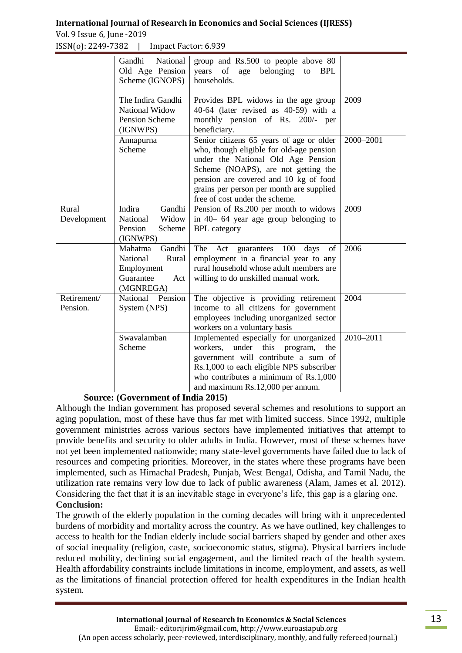Vol. 9 Issue 6, June -2019

ISSN(o): 2249-7382 | Impact Factor: 6.939

|                         | Gandhi<br>National<br>Old Age Pension<br>Scheme (IGNOPS)                              | group and Rs.500 to people above 80<br>years<br>belonging<br>of<br>age<br>to<br><b>BPL</b><br>households.                                                                                                                                                                                |           |
|-------------------------|---------------------------------------------------------------------------------------|------------------------------------------------------------------------------------------------------------------------------------------------------------------------------------------------------------------------------------------------------------------------------------------|-----------|
|                         | The Indira Gandhi<br>National Widow<br>Pension Scheme<br>(IGNWPS)                     | Provides BPL widows in the age group<br>40-64 (later revised as 40-59) with a<br>monthly pension of Rs. 200/- per<br>beneficiary.                                                                                                                                                        | 2009      |
|                         | Annapurna<br>Scheme                                                                   | Senior citizens 65 years of age or older<br>who, though eligible for old-age pension<br>under the National Old Age Pension<br>Scheme (NOAPS), are not getting the<br>pension are covered and 10 kg of food<br>grains per person per month are supplied<br>free of cost under the scheme. | 2000-2001 |
| Rural<br>Development    | Indira<br>Gandhi<br>National<br>Widow<br>Pension<br>Scheme<br>(IGNWPS)                | Pension of Rs.200 per month to widows<br>in $40-64$ year age group belonging to<br><b>BPL</b> category                                                                                                                                                                                   | 2009      |
|                         | Gandhi<br>Mahatma<br>National<br>Rural<br>Employment<br>Guarantee<br>Act<br>(MGNREGA) | The<br>100<br>Act guarantees<br>days<br>of<br>employment in a financial year to any<br>rural household whose adult members are<br>willing to do unskilled manual work.                                                                                                                   | 2006      |
| Retirement/<br>Pension. | Pension<br>National<br>System (NPS)                                                   | The objective is providing retirement<br>income to all citizens for government<br>employees including unorganized sector<br>workers on a voluntary basis                                                                                                                                 | 2004      |
|                         | Swavalamban<br>Scheme                                                                 | Implemented especially for unorganized<br>workers,<br>under<br>this<br>program,<br>the<br>government will contribute a sum of<br>Rs.1,000 to each eligible NPS subscriber<br>who contributes a minimum of Rs.1,000<br>and maximum Rs.12,000 per annum.                                   | 2010-2011 |

#### **Source: (Government of India 2015)**

Although the Indian government has proposed several schemes and resolutions to support an aging population, most of these have thus far met with limited success. Since 1992, multiple government ministries across various sectors have implemented initiatives that attempt to provide benefits and security to older adults in India. However, most of these schemes have not yet been implemented nationwide; many state-level governments have failed due to lack of resources and competing priorities. Moreover, in the states where these programs have been implemented, such as Himachal Pradesh, Punjab, West Bengal, Odisha, and Tamil Nadu, the utilization rate remains very low due to lack of public awareness (Alam, James et al. 2012). Considering the fact that it is an inevitable stage in everyone's life, this gap is a glaring one. **Conclusion:**

The growth of the elderly population in the coming decades will bring with it unprecedented burdens of morbidity and mortality across the country. As we have outlined, key challenges to access to health for the Indian elderly include social barriers shaped by gender and other axes of social inequality (religion, caste, socioeconomic status, stigma). Physical barriers include reduced mobility, declining social engagement, and the limited reach of the health system. Health affordability constraints include limitations in income, employment, and assets, as well as the limitations of financial protection offered for health expenditures in the Indian health system.